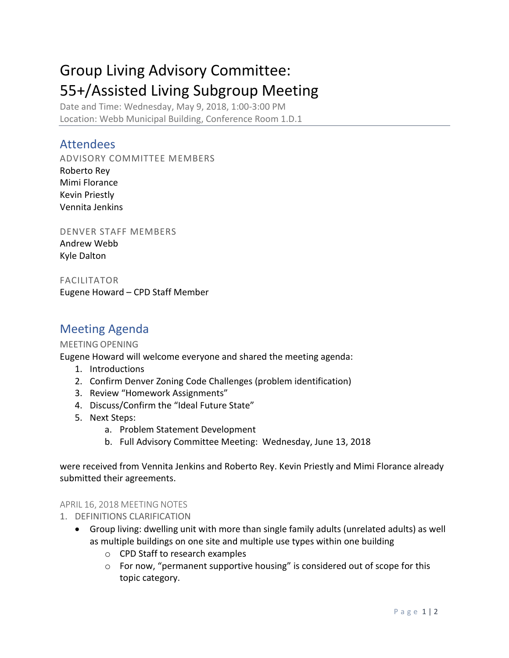# Group Living Advisory Committee: 55+/Assisted Living Subgroup Meeting

Date and Time: Wednesday, May 9, 2018, 1:00-3:00 PM Location: Webb Municipal Building, Conference Room 1.D.1

# Attendees

ADVISORY COMMITTEE MEMBERS Roberto Rey Mimi Florance Kevin Priestly Vennita Jenkins

DENVER STAFF MEMBERS Andrew Webb Kyle Dalton

FACILITATOR Eugene Howard – CPD Staff Member

# Meeting Agenda

## MEETING OPENING

Eugene Howard will welcome everyone and shared the meeting agenda:

- 1. Introductions
- 2. Confirm Denver Zoning Code Challenges (problem identification)
- 3. Review "Homework Assignments"
- 4. Discuss/Confirm the "Ideal Future State"
- 5. Next Steps:
	- a. Problem Statement Development
	- b. Full Advisory Committee Meeting: Wednesday, June 13, 2018

were received from Vennita Jenkins and Roberto Rey. Kevin Priestly and Mimi Florance already submitted their agreements.

#### APRIL 16, 2018 MEETING NOTES

- 1. DEFINITIONS CLARIFICATION
	- Group living: dwelling unit with more than single family adults (unrelated adults) as well as multiple buildings on one site and multiple use types within one building
		- o CPD Staff to research examples
		- o For now, "permanent supportive housing" is considered out of scope for this topic category.